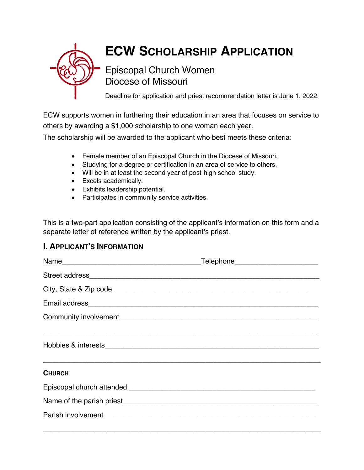

# **ECW SCHOLARSHIP APPLICATION**

# Episcopal Church Women Diocese of Missouri

Deadline for application and priest recommendation letter is June 1, 2022.

ECW supports women in furthering their education in an area that focuses on service to others by awarding a \$1,000 scholarship to one woman each year.

The scholarship will be awarded to the applicant who best meets these criteria:

- Female member of an Episcopal Church in the Diocese of Missouri.
- Studying for a degree or certification in an area of service to others.
- Will be in at least the second year of post-high school study.
- Excels academically.
- Exhibits leadership potential.
- Participates in community service activities.

This is a two-part application consisting of the applicant's information on this form and a separate letter of reference written by the applicant's priest.

# **I. APPLICANT'S INFORMATION**

| <b>CHURCH</b> |  |
|---------------|--|
|               |  |
|               |  |
|               |  |